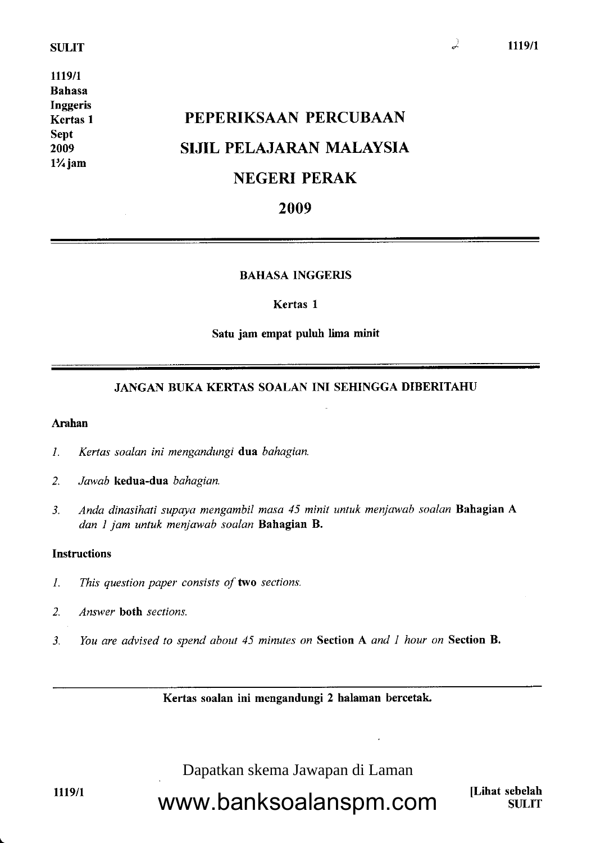### SULIT

1119/1 Bahasa Inggeris Kertas I Sept 2009 l%jam

# PEPERIKSAAN PERCUBAAN SIJIL PELAJARAN MALAYSIA NEGERI PERAK

# 2009

# BAHASA INGGERIS

#### Kertas I

#### Satu jam empat puluh lima minit

# JANGAN BUKA KERTAS SOALAN INI SEHINGGA DIBERITAHU

# Arahan

- l. Kertas soalan ini mengandungi dua bahagian.
- 2. Jawab kedua-dua bahagian.
- 3. Anda dinasihati supaya mengambil masa 45 minit untuk menjawab soalan **Bahagian A** dan 1 jam untuk menjawab soalan Bahagian B.

## **Instructions**

- 1. This question paper consists of two sections.
- 2. Answer both sections.
- 3. You are advised to spend about 45 minutes on Section A and I hour on Section B.

Kertas soalan ini mengandungi 2 balaman bercetak

Dapatkan skema Jawapan di Laman

1119/1

www.banksoalanspm.com

[Lihat sebelah **SULIT**